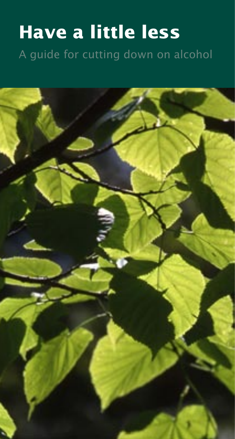## **Have a little less** A guide for cutting down on alcohol

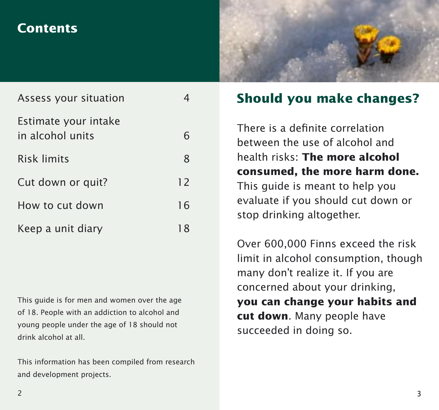#### **Contents**



| Assess your situation                    |    |
|------------------------------------------|----|
| Estimate your intake<br>in alcohol units | 6  |
| Risk limits                              | 8  |
| Cut down or quit?                        | 12 |
| How to cut down                          | 16 |
| Keep a unit diary                        | 18 |

This guide is for men and women over the age of 18. People with an addiction to alcohol and young people under the age of 18 should not drink alcohol at all.

This information has been compiled from research and development projects.

#### **Should you make changes?**

There is a definite correlation between the use of alcohol and health risks: **The more alcohol consumed, the more harm done.** This guide is meant to help you evaluate if you should cut down or stop drinking altogether.

Over 600,000 Finns exceed the risk limit in alcohol consumption, though many don't realize it. If you are concerned about your drinking, **you can change your habits and cut down**. Many people have succeeded in doing so.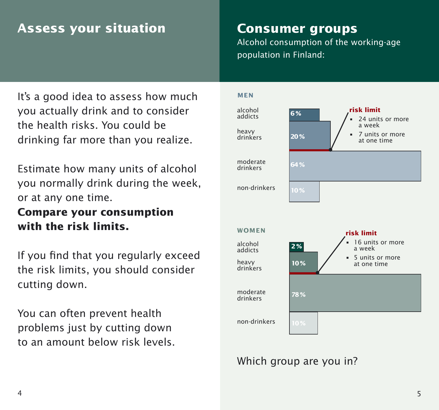#### **Assess your situation Consumer groups**

Alcohol consumption of the working-age population in Finland:

It's a good idea to assess how much you actually drink and to consider the health risks. You could be drinking far more than you realize.

Estimate how many units of alcohol you normally drink during the week, or at any one time.

#### **Compare your consumption with the risk limits.**

If you find that you regularly exceed the risk limits, you should consider cutting down.

You can often prevent health problems just by cutting down to an amount below risk levels.

#### **MEN**



#### Which group are you in?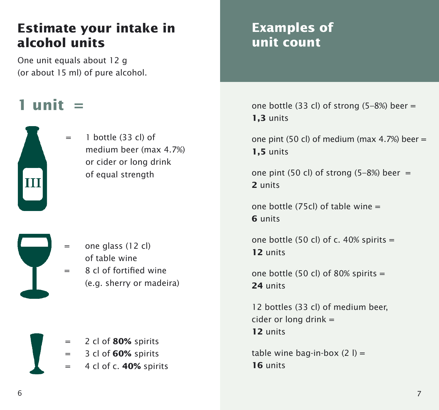### **Estimate your intake in alcohol units**

One unit equals about 12 g (or about 15 ml) of pure alcohol.

### **1 unit =**



 $=$  1 bottle (33 cl) of medium beer (max 4.7%) or cider or long drink of equal strength



- one glass (12 cl) of table wine
- 8 cl of fortified wine (e.g. sherry or madeira)



#### **Examples of unit count**

one bottle (33 cl) of strong (5–8%) beer = **1,3** units

one pint (50 cl) of medium (max 4.7%) beer = **1,5** units

one pint (50 cl) of strong  $(5-8%)$  beer = **2** units

one bottle (75cl) of table wine = **6** units

one bottle (50 cl) of c.  $40\%$  spirits = **12** units

one bottle (50 cl) of 80% spirits = **24** units

12 bottles (33 cl) of medium beer, cider or long drink = **12** units

table wine bag-in-box  $(2 | ) =$ **16** units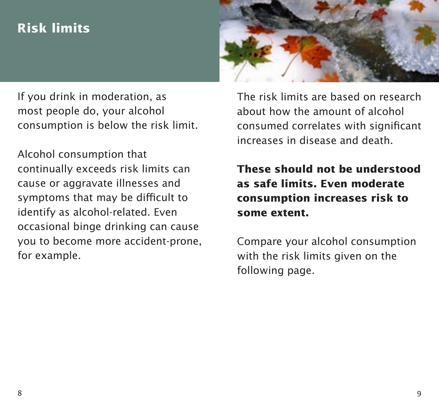#### **Risk limits**



If you drink in moderation, as most people do, your alcohol consumption is below the risk limit.

Alcohol consumption that continually exceeds risk limits can cause or aggravate illnesses and symptoms that may be difficult to identify as alcohol-related. Even occasional binge drinking can cause you to become more accident-prone, for example.

The risk limits are based on research about how the amount of alcohol consumed correlates with significant increases in disease and death.

**These should not be understood as safe limits. Even moderate consumption increases risk to some extent.**

Compare your alcohol consumption with the risk limits given on the following page.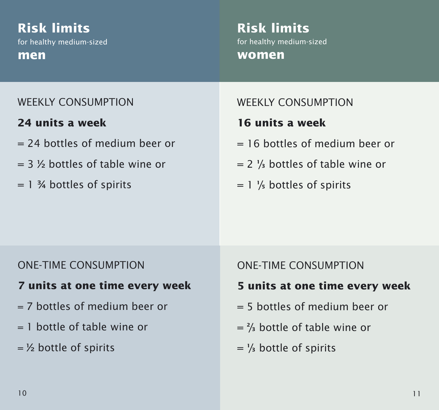#### **Risk limits Risk limits** WEEKLY CONSUMPTION **24 units a week** = 24 bottles of medium beer or  $= 3$  % bottles of table wine or  $= 1$  % bottles of spirits ONE-TIME CONSUMPTION **7 units at one time every week** = 7 bottles of medium beer or  $= 1$  bottle of table wine or  $=$   $\frac{1}{2}$  bottle of spirits WEEKLY CONSUMPTION **16 units a week** = 16 bottles of medium beer or = 2 **<sup>1</sup>** / **3** bottles of table wine or = 1 **<sup>1</sup>** / **5** bottles of spirits ONE-TIME CONSUMPTION **5 units at one time every week** = 5 bottles of medium beer or = **<sup>2</sup>** / **3** bottle of table wine or = **<sup>1</sup>** / **3** bottle of spirits for healthy medium-sized **men** for healthy medium-sized **women**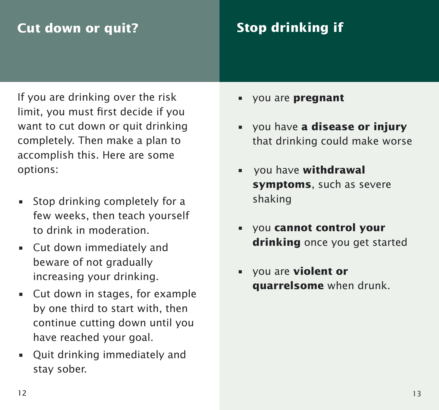### **Cut down or quit? Stop drinking if**

If you are drinking over the risk limit, you must first decide if you want to cut down or quit drinking completely. Then make a plan to accomplish this. Here are some options:

- Stop drinking completely for a few weeks, then teach yourself to drink in moderation.
- Cut down immediately and beware of not gradually increasing your drinking.
- Cut down in stages, for example by one third to start with, then continue cutting down until you have reached your goal.
- Quit drinking immediately and stay sober.
- you are **pregnant**
- you have **a disease or injury** that drinking could make worse
- you have **withdrawal symptoms**, such as severe shaking
- you **cannot control your drinking** once you get started
- you are **violent or quarrelsome** when drunk.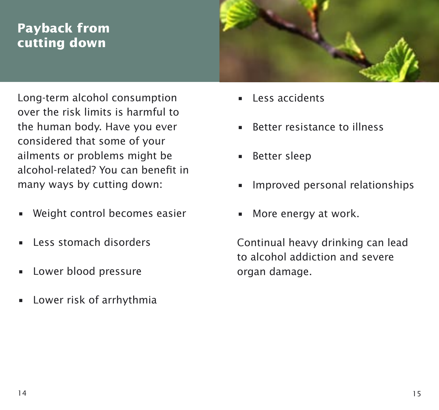### **Payback from cutting down**



Long-term alcohol consumption over the risk limits is harmful to the human body. Have you ever considered that some of your ailments or problems might be alcohol-related? You can benefit in many ways by cutting down:

- Weight control becomes easier
- Less stomach disorders
- Lower blood pressure
- Lower risk of arrhythmia
- Less accidents
- Better resistance to illness
- Better sleep
- Improved personal relationships
- More energy at work.

Continual heavy drinking can lead to alcohol addiction and severe organ damage.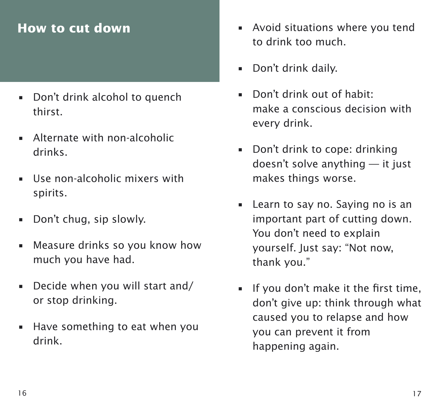- Don't drink alcohol to quench thirst.
- Alternate with non-alcoholic drinks.
- Use non-alcoholic mixers with spirits.
- Don't chug, sip slowly.
- Measure drinks so you know how much you have had.
- Decide when you will start and/ or stop drinking.
- Have something to eat when you drink.
- **How to cut down Avoid situations where you tend**  to drink too much.
	- Don't drink daily.
	- Don't drink out of habit: make a conscious decision with every drink.
	- Don't drink to cope: drinking doesn't solve anything — it just makes things worse.
	- Learn to say no. Saying no is an important part of cutting down. You don't need to explain yourself. Just say: "Not now, thank you."
	- If you don't make it the first time, don't give up: think through what caused you to relapse and how you can prevent it from happening again.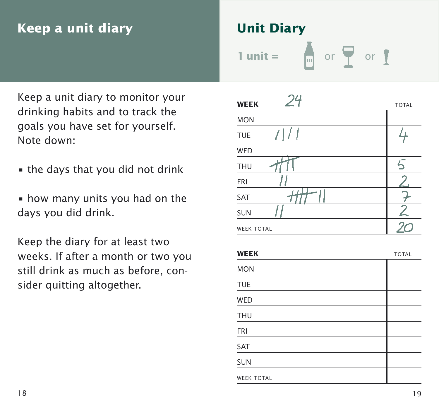#### **Keep a unit diary**

Keep a unit diary to monitor your drinking habits and to track the goals you have set for yourself. Note down:

- the days that you did not drink
- how many units you had on the days you did drink.

Keep the diary for at least two weeks. If after a month or two you still drink as much as before, consider quitting altogether.

# **1 unit =**  $\mathbb{E}$  or **y** or **y Unit Diary**



| <b>WEEK</b>       | <b>TOTAL</b> |
|-------------------|--------------|
| <b>MON</b>        |              |
| <b>TUE</b>        |              |
| WED               |              |
| <b>THU</b>        |              |
| <b>FRI</b>        |              |
| SAT               |              |
| <b>SUN</b>        |              |
| <b>WEEK TOTAL</b> |              |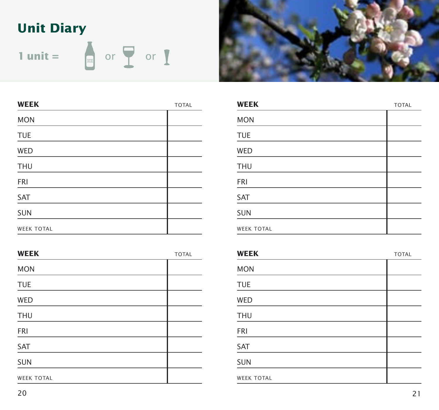



| <b>WEEK</b>       | <b>TOTAL</b> |
|-------------------|--------------|
| <b>MON</b>        |              |
| <b>TUE</b>        |              |
| WED               |              |
| <b>THU</b>        |              |
| <b>FRI</b>        |              |
| SAT               |              |
| <b>SUN</b>        |              |
| <b>WEEK TOTAL</b> |              |

| <b>WEEK</b>       | <b>TOTAL</b> |
|-------------------|--------------|
| <b>MON</b>        |              |
| <b>TUE</b>        |              |
| WED               |              |
| <b>THU</b>        |              |
| <b>FRI</b>        |              |
| SAT               |              |
| <b>SUN</b>        |              |
| <b>WEEK TOTAL</b> |              |

| <b>WEEK</b>       | <b>TOTAL</b> |
|-------------------|--------------|
| <b>MON</b>        |              |
| <b>TUE</b>        |              |
| <b>WED</b>        |              |
| <b>THU</b>        |              |
| <b>FRI</b>        |              |
| SAT               |              |
| <b>SUN</b>        |              |
| <b>WEEK TOTAL</b> |              |

| <b>WEEK</b>       | <b>TOTAL</b> |
|-------------------|--------------|
| <b>MON</b>        |              |
| <b>TUE</b>        |              |
| <b>WED</b>        |              |
| <b>THU</b>        |              |
| <b>FRI</b>        |              |
| SAT               |              |
| <b>SUN</b>        |              |
| <b>WEEK TOTAL</b> |              |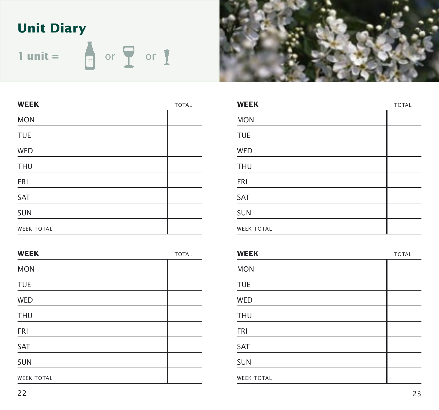



| <b>WEEK</b>       | <b>TOTAL</b> |
|-------------------|--------------|
| <b>MON</b>        |              |
| <b>TUE</b>        |              |
| WED               |              |
| <b>THU</b>        |              |
| <b>FRI</b>        |              |
| SAT               |              |
| <b>SUN</b>        |              |
| <b>WEEK TOTAL</b> |              |

| <b>WEEK</b>       | <b>TOTAL</b> |
|-------------------|--------------|
| <b>MON</b>        |              |
| <b>TUE</b>        |              |
| WED               |              |
| <b>THU</b>        |              |
| <b>FRI</b>        |              |
| SAT               |              |
| <b>SUN</b>        |              |
| <b>WEEK TOTAL</b> |              |

| <b>WEEK</b>       | <b>TOTAL</b> |
|-------------------|--------------|
| <b>MON</b>        |              |
| <b>TUE</b>        |              |
| <b>WED</b>        |              |
| <b>THU</b>        |              |
| <b>FRI</b>        |              |
| SAT               |              |
| <b>SUN</b>        |              |
| <b>WEEK TOTAL</b> |              |

| <b>WEEK</b>       | <b>TOTAL</b> |
|-------------------|--------------|
| <b>MON</b>        |              |
| <b>TUE</b>        |              |
| WED               |              |
| <b>THU</b>        |              |
| <b>FRI</b>        |              |
| SAT               |              |
| <b>SUN</b>        |              |
| <b>WEEK TOTAL</b> |              |